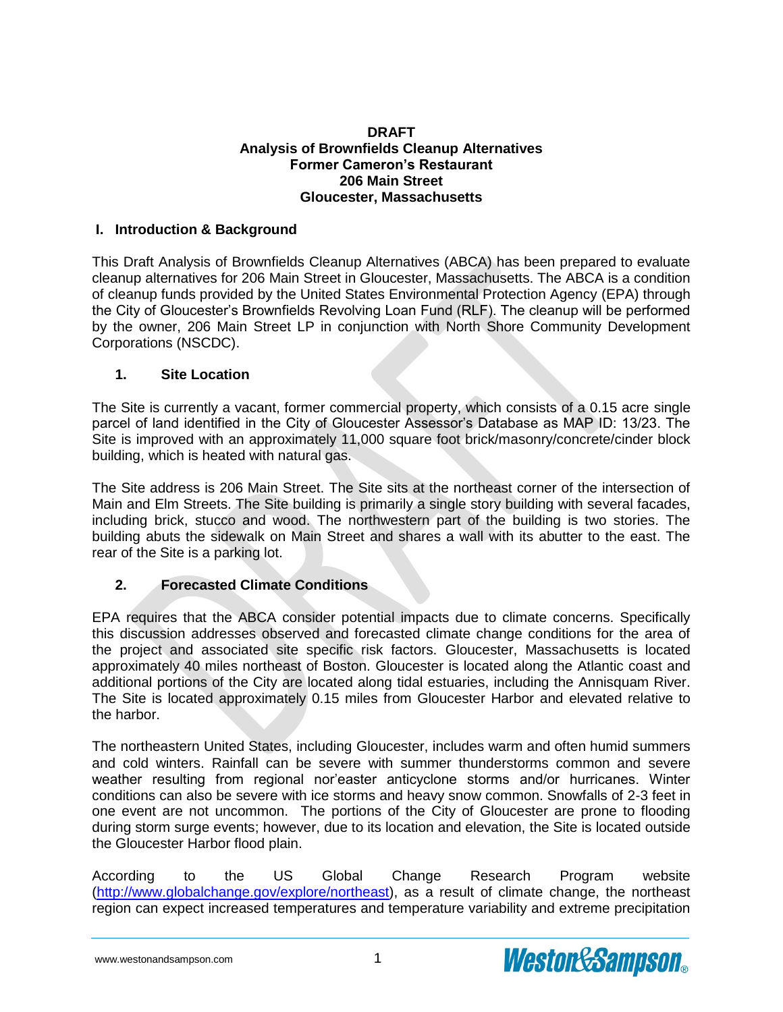#### **DRAFT Analysis of Brownfields Cleanup Alternatives Former Cameron's Restaurant 206 Main Street Gloucester, Massachusetts**

### **I. Introduction & Background**

This Draft Analysis of Brownfields Cleanup Alternatives (ABCA) has been prepared to evaluate cleanup alternatives for 206 Main Street in Gloucester, Massachusetts. The ABCA is a condition of cleanup funds provided by the United States Environmental Protection Agency (EPA) through the City of Gloucester's Brownfields Revolving Loan Fund (RLF). The cleanup will be performed by the owner, 206 Main Street LP in conjunction with North Shore Community Development Corporations (NSCDC).

#### **1. Site Location**

The Site is currently a vacant, former commercial property, which consists of a 0.15 acre single parcel of land identified in the City of Gloucester Assessor's Database as MAP ID: 13/23. The Site is improved with an approximately 11,000 square foot brick/masonry/concrete/cinder block building, which is heated with natural gas.

The Site address is 206 Main Street. The Site sits at the northeast corner of the intersection of Main and Elm Streets. The Site building is primarily a single story building with several facades, including brick, stucco and wood. The northwestern part of the building is two stories. The building abuts the sidewalk on Main Street and shares a wall with its abutter to the east. The rear of the Site is a parking lot.

### **2. Forecasted Climate Conditions**

EPA requires that the ABCA consider potential impacts due to climate concerns. Specifically this discussion addresses observed and forecasted climate change conditions for the area of the project and associated site specific risk factors. Gloucester, Massachusetts is located approximately 40 miles northeast of Boston. Gloucester is located along the Atlantic coast and additional portions of the City are located along tidal estuaries, including the Annisquam River. The Site is located approximately 0.15 miles from Gloucester Harbor and elevated relative to the harbor.

The northeastern United States, including Gloucester, includes warm and often humid summers and cold winters. Rainfall can be severe with summer thunderstorms common and severe weather resulting from regional nor'easter anticyclone storms and/or hurricanes. Winter conditions can also be severe with ice storms and heavy snow common. Snowfalls of 2-3 feet in one event are not uncommon. The portions of the City of Gloucester are prone to flooding during storm surge events; however, due to its location and elevation, the Site is located outside the Gloucester Harbor flood plain.

According to the US Global Change Research Program website [\(http://www.globalchange.gov/explore/northeast\)](http://www.globalchange.gov/explore/northeast), as a result of climate change, the northeast region can expect increased temperatures and temperature variability and extreme precipitation

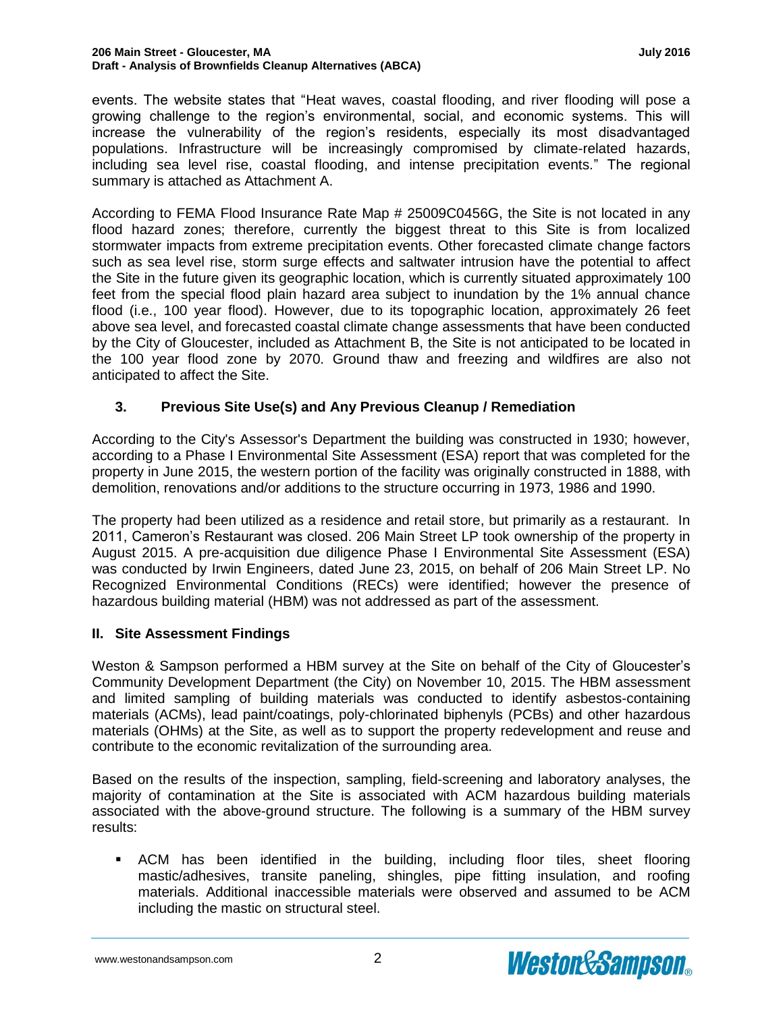events. The website states that "Heat waves, coastal flooding, and river flooding will pose a growing challenge to the region's environmental, social, and economic systems. This will increase the vulnerability of the region's residents, especially its most disadvantaged populations. Infrastructure will be increasingly compromised by climate-related hazards, including sea level rise, coastal flooding, and intense precipitation events." The regional summary is attached as Attachment A.

According to FEMA Flood Insurance Rate Map # 25009C0456G, the Site is not located in any flood hazard zones; therefore, currently the biggest threat to this Site is from localized stormwater impacts from extreme precipitation events. Other forecasted climate change factors such as sea level rise, storm surge effects and saltwater intrusion have the potential to affect the Site in the future given its geographic location, which is currently situated approximately 100 feet from the special flood plain hazard area subject to inundation by the 1% annual chance flood (i.e., 100 year flood). However, due to its topographic location, approximately 26 feet above sea level, and forecasted coastal climate change assessments that have been conducted by the City of Gloucester, included as Attachment B, the Site is not anticipated to be located in the 100 year flood zone by 2070. Ground thaw and freezing and wildfires are also not anticipated to affect the Site.

### **3. Previous Site Use(s) and Any Previous Cleanup / Remediation**

According to the City's Assessor's Department the building was constructed in 1930; however, according to a Phase I Environmental Site Assessment (ESA) report that was completed for the property in June 2015, the western portion of the facility was originally constructed in 1888, with demolition, renovations and/or additions to the structure occurring in 1973, 1986 and 1990.

The property had been utilized as a residence and retail store, but primarily as a restaurant. In 2011, Cameron's Restaurant was closed. 206 Main Street LP took ownership of the property in August 2015. A pre-acquisition due diligence Phase I Environmental Site Assessment (ESA) was conducted by Irwin Engineers, dated June 23, 2015, on behalf of 206 Main Street LP. No Recognized Environmental Conditions (RECs) were identified; however the presence of hazardous building material (HBM) was not addressed as part of the assessment.

### **II. Site Assessment Findings**

Weston & Sampson performed a HBM survey at the Site on behalf of the City of Gloucester's Community Development Department (the City) on November 10, 2015. The HBM assessment and limited sampling of building materials was conducted to identify asbestos-containing materials (ACMs), lead paint/coatings, poly-chlorinated biphenyls (PCBs) and other hazardous materials (OHMs) at the Site, as well as to support the property redevelopment and reuse and contribute to the economic revitalization of the surrounding area.

Based on the results of the inspection, sampling, field-screening and laboratory analyses, the majority of contamination at the Site is associated with ACM hazardous building materials associated with the above-ground structure. The following is a summary of the HBM survey results:

 ACM has been identified in the building, including floor tiles, sheet flooring mastic/adhesives, transite paneling, shingles, pipe fitting insulation, and roofing materials. Additional inaccessible materials were observed and assumed to be ACM including the mastic on structural steel.

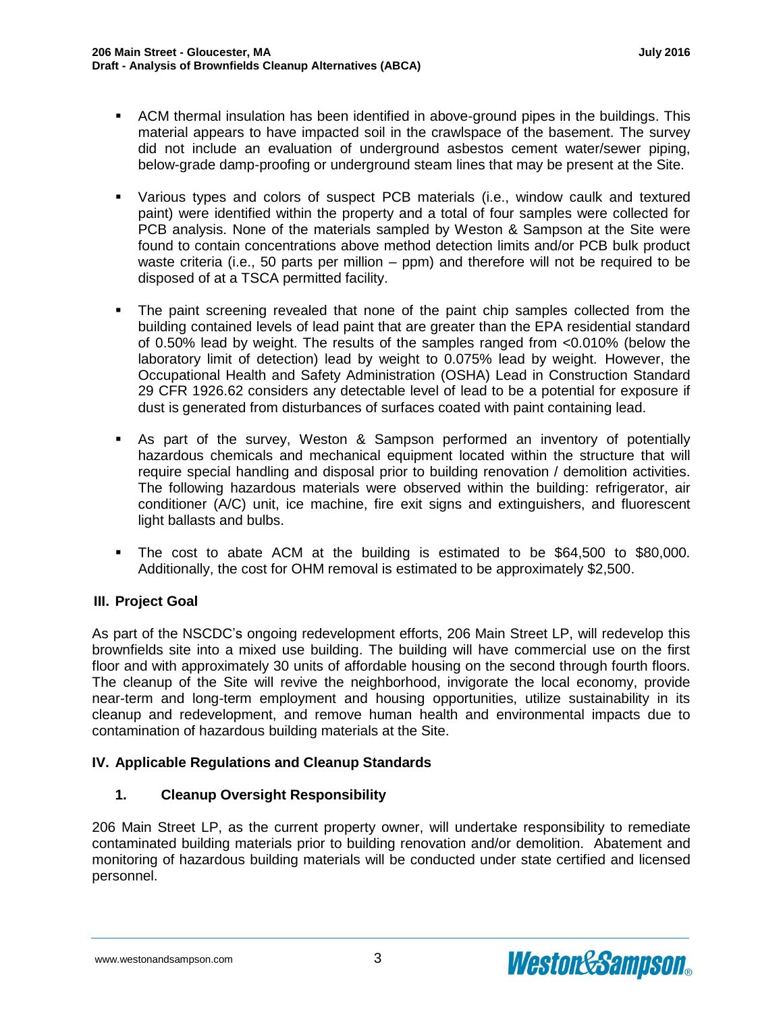- ACM thermal insulation has been identified in above-ground pipes in the buildings. This material appears to have impacted soil in the crawlspace of the basement. The survey did not include an evaluation of underground asbestos cement water/sewer piping, below-grade damp-proofing or underground steam lines that may be present at the Site.
- Various types and colors of suspect PCB materials (i.e., window caulk and textured paint) were identified within the property and a total of four samples were collected for PCB analysis. None of the materials sampled by Weston & Sampson at the Site were found to contain concentrations above method detection limits and/or PCB bulk product waste criteria (i.e., 50 parts per million – ppm) and therefore will not be required to be disposed of at a TSCA permitted facility.
- The paint screening revealed that none of the paint chip samples collected from the building contained levels of lead paint that are greater than the EPA residential standard of 0.50% lead by weight. The results of the samples ranged from <0.010% (below the laboratory limit of detection) lead by weight to 0.075% lead by weight. However, the Occupational Health and Safety Administration (OSHA) Lead in Construction Standard 29 CFR 1926.62 considers any detectable level of lead to be a potential for exposure if dust is generated from disturbances of surfaces coated with paint containing lead.
- As part of the survey, Weston & Sampson performed an inventory of potentially hazardous chemicals and mechanical equipment located within the structure that will require special handling and disposal prior to building renovation / demolition activities. The following hazardous materials were observed within the building: refrigerator, air conditioner (A/C) unit, ice machine, fire exit signs and extinguishers, and fluorescent light ballasts and bulbs.
- The cost to abate ACM at the building is estimated to be \$64,500 to \$80,000. Additionally, the cost for OHM removal is estimated to be approximately \$2,500.

# **III. Project Goal**

As part of the NSCDC's ongoing redevelopment efforts, 206 Main Street LP, will redevelop this brownfields site into a mixed use building. The building will have commercial use on the first floor and with approximately 30 units of affordable housing on the second through fourth floors. The cleanup of the Site will revive the neighborhood, invigorate the local economy, provide near-term and long-term employment and housing opportunities, utilize sustainability in its cleanup and redevelopment, and remove human health and environmental impacts due to contamination of hazardous building materials at the Site.

# **IV. Applicable Regulations and Cleanup Standards**

# **1. Cleanup Oversight Responsibility**

206 Main Street LP, as the current property owner, will undertake responsibility to remediate contaminated building materials prior to building renovation and/or demolition. Abatement and monitoring of hazardous building materials will be conducted under state certified and licensed personnel.

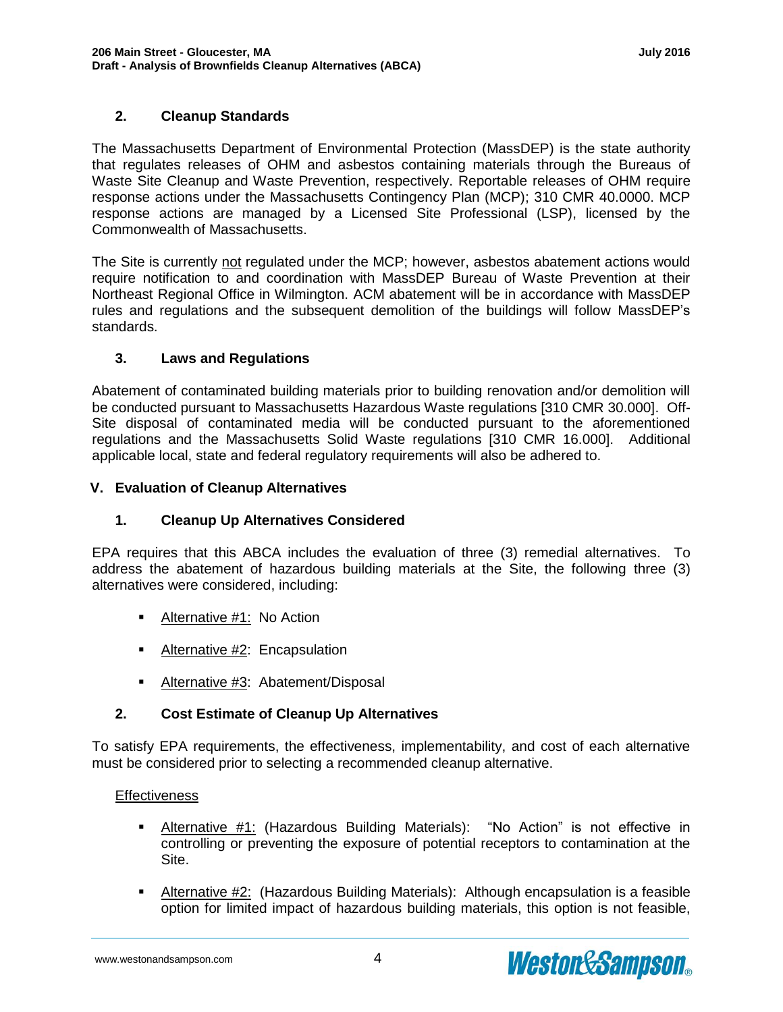### **2. Cleanup Standards**

The Massachusetts Department of Environmental Protection (MassDEP) is the state authority that regulates releases of OHM and asbestos containing materials through the Bureaus of Waste Site Cleanup and Waste Prevention, respectively. Reportable releases of OHM require response actions under the Massachusetts Contingency Plan (MCP); 310 CMR 40.0000. MCP response actions are managed by a Licensed Site Professional (LSP), licensed by the Commonwealth of Massachusetts.

The Site is currently not regulated under the MCP; however, asbestos abatement actions would require notification to and coordination with MassDEP Bureau of Waste Prevention at their Northeast Regional Office in Wilmington. ACM abatement will be in accordance with MassDEP rules and regulations and the subsequent demolition of the buildings will follow MassDEP's standards.

### **3. Laws and Regulations**

Abatement of contaminated building materials prior to building renovation and/or demolition will be conducted pursuant to Massachusetts Hazardous Waste regulations [310 CMR 30.000]. Off-Site disposal of contaminated media will be conducted pursuant to the aforementioned regulations and the Massachusetts Solid Waste regulations [310 CMR 16.000]. Additional applicable local, state and federal regulatory requirements will also be adhered to.

### **V. Evaluation of Cleanup Alternatives**

# **1. Cleanup Up Alternatives Considered**

EPA requires that this ABCA includes the evaluation of three (3) remedial alternatives. To address the abatement of hazardous building materials at the Site, the following three (3) alternatives were considered, including:

- **-** Alternative #1: No Action
- **Alternative #2: Encapsulation**
- Alternative #3: Abatement/Disposal

# **2. Cost Estimate of Cleanup Up Alternatives**

To satisfy EPA requirements, the effectiveness, implementability, and cost of each alternative must be considered prior to selecting a recommended cleanup alternative.

### **Effectiveness**

- Alternative #1: (Hazardous Building Materials): "No Action" is not effective in controlling or preventing the exposure of potential receptors to contamination at the Site.
- Alternative #2: (Hazardous Building Materials): Although encapsulation is a feasible option for limited impact of hazardous building materials, this option is not feasible,